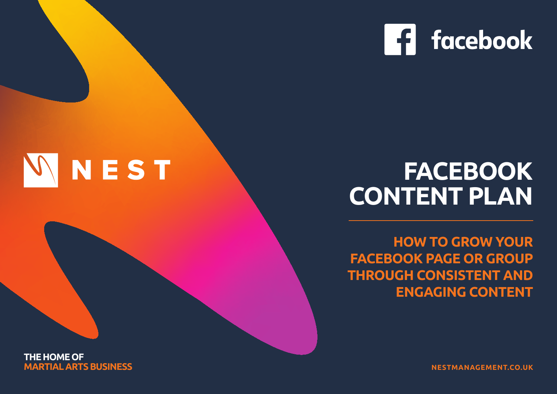

# **FACEBOOK CONTENT PLAN**

**HOW TO GROW YOUR FACEBOOK PAGE OR GROUP THROUGH CONSISTENT AND ENGAGING CONTENT**

**THE HOME OF MARTIAL ARTS BUSINESS**

NEST

 $|\mathcal{N}|$ 

**NESTMANAGEMENT.CO.UK**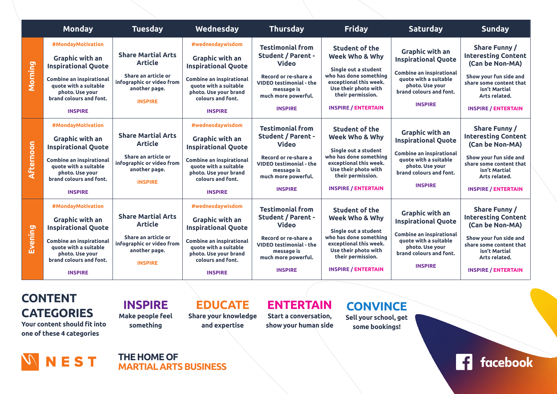|           | <b>Monday</b>                                                                                                                                                                                         | <b>Tuesday</b>                                                                                                                     | Wednesday                                                                                                                                                                                            | <b>Thursday</b>                                                                                                                                                                       | <b>Friday</b>                                                                                                                                                                                  | <b>Saturday</b>                                                                                                                                                                  | <b>Sunday</b>                                                                                                                                                                       |
|-----------|-------------------------------------------------------------------------------------------------------------------------------------------------------------------------------------------------------|------------------------------------------------------------------------------------------------------------------------------------|------------------------------------------------------------------------------------------------------------------------------------------------------------------------------------------------------|---------------------------------------------------------------------------------------------------------------------------------------------------------------------------------------|------------------------------------------------------------------------------------------------------------------------------------------------------------------------------------------------|----------------------------------------------------------------------------------------------------------------------------------------------------------------------------------|-------------------------------------------------------------------------------------------------------------------------------------------------------------------------------------|
| Morning   | #MondayMotivation<br><b>Graphic with an</b><br><b>Inspirational Quote</b><br><b>Combine an inspirational</b><br>quote with a suitable<br>photo. Use your<br>brand colours and font.<br><b>INSPIRE</b> | <b>Share Martial Arts</b><br><b>Article</b><br>Share an article or<br>infographic or video from<br>another page.<br><b>INSPIRE</b> | #wednesdaywisdom<br><b>Graphic with an</b><br><b>Inspirational Quote</b><br><b>Combine an inspirational</b><br>quote with a suitable<br>photo. Use your brand<br>colours and font.<br><b>INSPIRE</b> | <b>Testimonial from</b><br><b>Student / Parent -</b><br><b>Video</b><br>Record or re-share a<br><b>VIDEO testimonial - the</b><br>message is<br>much more powerful.<br><b>INSPIRE</b> | <b>Student of the</b><br>Week Who & Why<br>Single out a student<br>who has done something<br>exceptional this week.<br>Use their photo with<br>their permission.<br><b>INSPIRE / ENTERTAIN</b> | <b>Graphic with an</b><br><b>Inspirational Quote</b><br><b>Combine an inspirational</b><br>quote with a suitable<br>photo. Use your<br>brand colours and font.<br><b>INSPIRE</b> | Share Funny /<br><b>Interesting Content</b><br>(Can be Non-MA)<br>Show your fun side and<br>share some content that<br>isn't Martial<br>Arts related.<br><b>INSPIRE / ENTERTAIN</b> |
| Afternoon | #MondayMotivation<br><b>Graphic with an</b><br><b>Inspirational Quote</b><br><b>Combine an inspirational</b><br>quote with a suitable<br>photo. Use your<br>brand colours and font.<br><b>INSPIRE</b> | <b>Share Martial Arts</b><br><b>Article</b><br>Share an article or<br>infographic or video from<br>another page.<br><b>INSPIRE</b> | #wednesdaywisdom<br><b>Graphic with an</b><br><b>Inspirational Quote</b><br><b>Combine an inspirational</b><br>quote with a suitable<br>photo. Use your brand<br>colours and font.<br><b>INSPIRE</b> | <b>Testimonial from</b><br><b>Student / Parent -</b><br><b>Video</b><br>Record or re-share a<br><b>VIDEO testimonial - the</b><br>message is<br>much more powerful.<br><b>INSPIRE</b> | <b>Student of the</b><br>Week Who & Why<br>Single out a student<br>who has done something<br>exceptional this week.<br>Use their photo with<br>their permission.<br><b>INSPIRE / ENTERTAIN</b> | <b>Graphic with an</b><br><b>Inspirational Quote</b><br><b>Combine an inspirational</b><br>quote with a suitable<br>photo. Use your<br>brand colours and font.<br><b>INSPIRE</b> | Share Funny /<br><b>Interesting Content</b><br>(Can be Non-MA)<br>Show your fun side and<br>share some content that<br>isn't Martial<br>Arts related.<br><b>INSPIRE / ENTERTAIN</b> |
| Evening   | #MondayMotivation<br><b>Graphic with an</b><br><b>Inspirational Quote</b><br><b>Combine an inspirational</b><br>quote with a suitable<br>photo. Use your<br>brand colours and font.<br><b>INSPIRE</b> | <b>Share Martial Arts</b><br><b>Article</b><br>Share an article or<br>infographic or video from<br>another page.<br><b>INSPIRE</b> | #wednesdaywisdom<br><b>Graphic with an</b><br><b>Inspirational Quote</b><br><b>Combine an inspirational</b><br>quote with a suitable<br>photo. Use your brand<br>colours and font.<br><b>INSPIRE</b> | <b>Testimonial from</b><br><b>Student / Parent -</b><br><b>Video</b><br>Record or re-share a<br><b>VIDEO testimonial - the</b><br>message is<br>much more powerful.<br><b>INSPIRE</b> | <b>Student of the</b><br>Week Who & Why<br>Single out a student<br>who has done something<br>exceptional this week.<br>Use their photo with<br>their permission.<br><b>INSPIRE / ENTERTAIN</b> | <b>Graphic with an</b><br><b>Inspirational Quote</b><br>Combine an inspirational<br>quote with a suitable<br>photo. Use your<br>brand colours and font.<br><b>INSPIRE</b>        | Share Funny /<br><b>Interesting Content</b><br>(Can be Non-MA)<br>Show your fun side and<br>share some content that<br>isn't Martial<br>Arts related.<br><b>INSPIRE / ENTERTAIN</b> |

**CONTENT CATEGORIES**

**Your content should fit into one of these 4 categories**

**INSPIRE Make people feel something**

### **EDUCATE**

**Share your knowledge and expertise** 

**ENTERTAIN Start a conversation,** 

**show your human side**

## **CONVINCE**

**Sell your school, get some bookings!**



**THE HOME OF MARTIAL ARTS BUSINESS** **13** facebook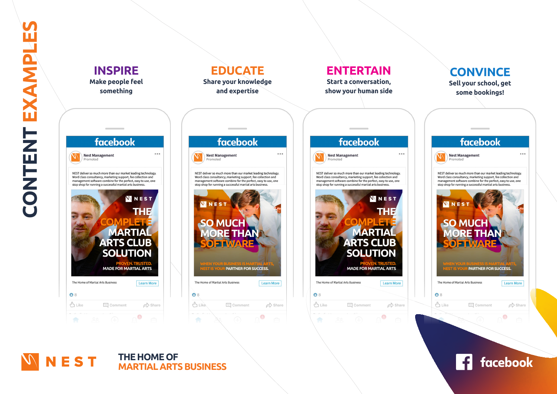

#### **NEST** THE HOME OF **MARTIAL ARTS BUSINESS**

facebook